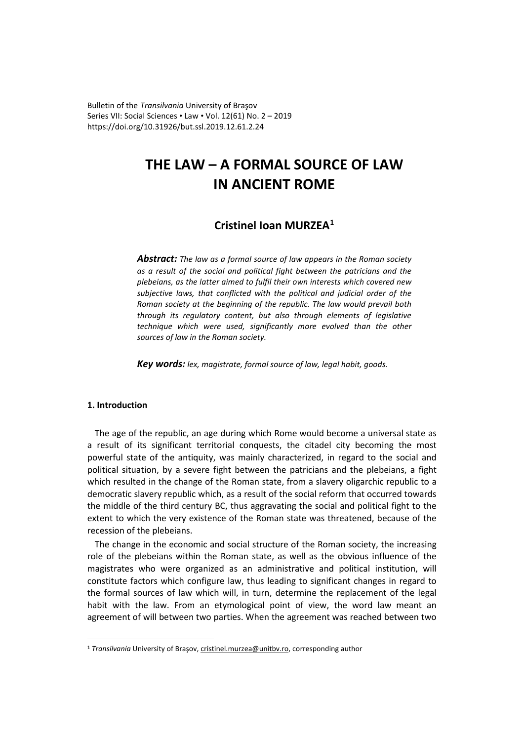Bulletin of the *Transilvania* University of Braşov Series VII: Social Sciences • Law • Vol. 12(61) No. 2 – 2019 https://doi.org/10.31926/but.ssl.2019.12.61.2.24

# **THE LAW – A FORMAL SOURCE OF LAW IN ANCIENT ROME**

## **Cristinel Ioan MURZEA[1](#page-0-0)**

*Abstract: The law as a formal source of law appears in the Roman society as a result of the social and political fight between the patricians and the plebeians, as the latter aimed to fulfil their own interests which covered new subjective laws, that conflicted with the political and judicial order of the Roman society at the beginning of the republic. The law would prevail both through its regulatory content, but also through elements of legislative technique which were used, significantly more evolved than the other sources of law in the Roman society.*

*Key words: lex, magistrate, formal source of law, legal habit, goods.*

### **1. Introduction**

The age of the republic, an age during which Rome would become a universal state as a result of its significant territorial conquests, the citadel city becoming the most powerful state of the antiquity, was mainly characterized, in regard to the social and political situation, by a severe fight between the patricians and the plebeians, a fight which resulted in the change of the Roman state, from a slavery oligarchic republic to a democratic slavery republic which, as a result of the social reform that occurred towards the middle of the third century BC, thus aggravating the social and political fight to the extent to which the very existence of the Roman state was threatened, because of the recession of the plebeians.

The change in the economic and social structure of the Roman society, the increasing role of the plebeians within the Roman state, as well as the obvious influence of the magistrates who were organized as an administrative and political institution, will constitute factors which configure law, thus leading to significant changes in regard to the formal sources of law which will, in turn, determine the replacement of the legal habit with the law. From an etymological point of view, the word law meant an agreement of will between two parties. When the agreement was reached between two

<span id="page-0-0"></span><sup>&</sup>lt;sup>1</sup> *Transilvania* University of Brașov, cristinel[.murzea@unitbv.ro,](mailto:murzea@unitbv.ro) corresponding author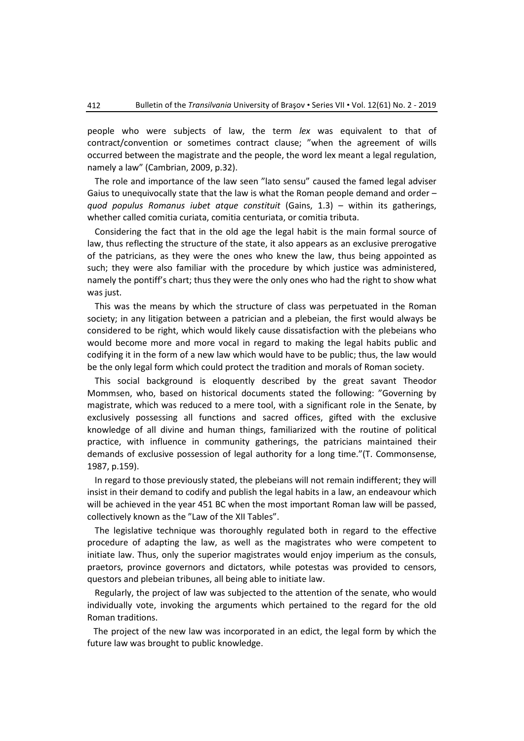people who were subjects of law, the term *lex* was equivalent to that of contract/convention or sometimes contract clause; "when the agreement of wills occurred between the magistrate and the people, the word lex meant a legal regulation, namely a law" (Cambrian, 2009, p.32).

The role and importance of the law seen "lato sensu" caused the famed legal adviser Gaius to unequivocally state that the law is what the Roman people demand and order – *quod populus Romanus iubet atque constituit* (Gains, 1.3) – within its gatherings, whether called comitia curiata, comitia centuriata, or comitia tributa.

Considering the fact that in the old age the legal habit is the main formal source of law, thus reflecting the structure of the state, it also appears as an exclusive prerogative of the patricians, as they were the ones who knew the law, thus being appointed as such; they were also familiar with the procedure by which justice was administered, namely the pontiff's chart; thus they were the only ones who had the right to show what was just.

This was the means by which the structure of class was perpetuated in the Roman society; in any litigation between a patrician and a plebeian, the first would always be considered to be right, which would likely cause dissatisfaction with the plebeians who would become more and more vocal in regard to making the legal habits public and codifying it in the form of a new law which would have to be public; thus, the law would be the only legal form which could protect the tradition and morals of Roman society.

This social background is eloquently described by the great savant Theodor Mommsen, who, based on historical documents stated the following: "Governing by magistrate, which was reduced to a mere tool, with a significant role in the Senate, by exclusively possessing all functions and sacred offices, gifted with the exclusive knowledge of all divine and human things, familiarized with the routine of political practice, with influence in community gatherings, the patricians maintained their demands of exclusive possession of legal authority for a long time."(T. Commonsense, 1987, p.159).

In regard to those previously stated, the plebeians will not remain indifferent; they will insist in their demand to codify and publish the legal habits in a law, an endeavour which will be achieved in the year 451 BC when the most important Roman law will be passed, collectively known as the "Law of the XII Tables".

The legislative technique was thoroughly regulated both in regard to the effective procedure of adapting the law, as well as the magistrates who were competent to initiate law. Thus, only the superior magistrates would enjoy imperium as the consuls, praetors, province governors and dictators, while potestas was provided to censors, questors and plebeian tribunes, all being able to initiate law.

Regularly, the project of law was subjected to the attention of the senate, who would individually vote, invoking the arguments which pertained to the regard for the old Roman traditions.

The project of the new law was incorporated in an edict, the legal form by which the future law was brought to public knowledge.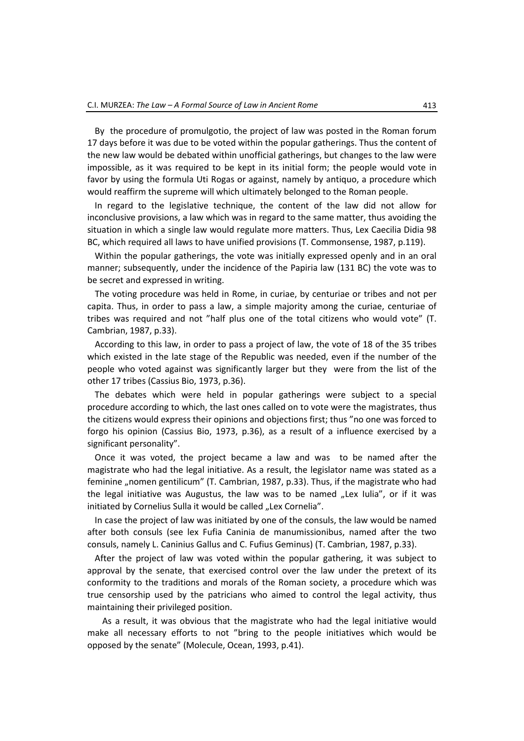By the procedure of promulgotio, the project of law was posted in the Roman forum 17 days before it was due to be voted within the popular gatherings. Thus the content of the new law would be debated within unofficial gatherings, but changes to the law were impossible, as it was required to be kept in its initial form; the people would vote in favor by using the formula Uti Rogas or against, namely by antiquo, a procedure which would reaffirm the supreme will which ultimately belonged to the Roman people.

In regard to the legislative technique, the content of the law did not allow for inconclusive provisions, a law which was in regard to the same matter, thus avoiding the situation in which a single law would regulate more matters. Thus, Lex Caecilia Didia 98 BC, which required all laws to have unified provisions (T. Commonsense, 1987, p.119).

Within the popular gatherings, the vote was initially expressed openly and in an oral manner; subsequently, under the incidence of the Papiria law (131 BC) the vote was to be secret and expressed in writing.

The voting procedure was held in Rome, in curiae, by centuriae or tribes and not per capita. Thus, in order to pass a law, a simple majority among the curiae, centuriae of tribes was required and not "half plus one of the total citizens who would vote" (T. Cambrian, 1987, p.33).

According to this law, in order to pass a project of law, the vote of 18 of the 35 tribes which existed in the late stage of the Republic was needed, even if the number of the people who voted against was significantly larger but they were from the list of the other 17 tribes (Cassius Bio, 1973, p.36).

The debates which were held in popular gatherings were subject to a special procedure according to which, the last ones called on to vote were the magistrates, thus the citizens would express their opinions and objections first; thus "no one was forced to forgo his opinion (Cassius Bio, 1973, p.36), as a result of a influence exercised by a significant personality".

Once it was voted, the project became a law and was to be named after the magistrate who had the legal initiative. As a result, the legislator name was stated as a feminine "nomen gentilicum" (T. Cambrian, 1987, p.33). Thus, if the magistrate who had the legal initiative was Augustus, the law was to be named  $n$  Lex Iulia", or if it was initiated by Cornelius Sulla it would be called "Lex Cornelia".

In case the project of law was initiated by one of the consuls, the law would be named after both consuls (see lex Fufia Caninia de manumissionibus, named after the two consuls, namely L. Caninius Gallus and C. Fufius Geminus) (T. Cambrian, 1987, p.33).

After the project of law was voted within the popular gathering, it was subject to approval by the senate, that exercised control over the law under the pretext of its conformity to the traditions and morals of the Roman society, a procedure which was true censorship used by the patricians who aimed to control the legal activity, thus maintaining their privileged position.

As a result, it was obvious that the magistrate who had the legal initiative would make all necessary efforts to not "bring to the people initiatives which would be opposed by the senate" (Molecule, Ocean, 1993, p.41).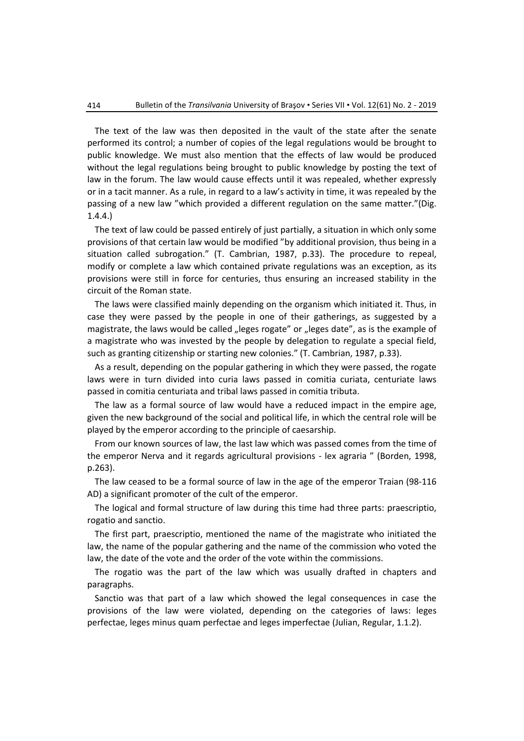The text of the law was then deposited in the vault of the state after the senate performed its control; a number of copies of the legal regulations would be brought to public knowledge. We must also mention that the effects of law would be produced without the legal regulations being brought to public knowledge by posting the text of law in the forum. The law would cause effects until it was repealed, whether expressly or in a tacit manner. As a rule, in regard to a law's activity in time, it was repealed by the passing of a new law "which provided a different regulation on the same matter."(Dig. 1.4.4.)

The text of law could be passed entirely of just partially, a situation in which only some provisions of that certain law would be modified "by additional provision, thus being in a situation called subrogation." (T. Cambrian, 1987, p.33). The procedure to repeal, modify or complete a law which contained private regulations was an exception, as its provisions were still in force for centuries, thus ensuring an increased stability in the circuit of the Roman state.

The laws were classified mainly depending on the organism which initiated it. Thus, in case they were passed by the people in one of their gatherings, as suggested by a magistrate, the laws would be called "leges rogate" or "leges date", as is the example of a magistrate who was invested by the people by delegation to regulate a special field, such as granting citizenship or starting new colonies." (T. Cambrian, 1987, p.33).

As a result, depending on the popular gathering in which they were passed, the rogate laws were in turn divided into curia laws passed in comitia curiata, centuriate laws passed in comitia centuriata and tribal laws passed in comitia tributa.

The law as a formal source of law would have a reduced impact in the empire age, given the new background of the social and political life, in which the central role will be played by the emperor according to the principle of caesarship.

From our known sources of law, the last law which was passed comes from the time of the emperor Nerva and it regards agricultural provisions - lex agraria " (Borden, 1998, p.263).

The law ceased to be a formal source of law in the age of the emperor Traian (98-116 AD) a significant promoter of the cult of the emperor.

The logical and formal structure of law during this time had three parts: praescriptio, rogatio and sanctio.

The first part, praescriptio, mentioned the name of the magistrate who initiated the law, the name of the popular gathering and the name of the commission who voted the law, the date of the vote and the order of the vote within the commissions.

The rogatio was the part of the law which was usually drafted in chapters and paragraphs.

Sanctio was that part of a law which showed the legal consequences in case the provisions of the law were violated, depending on the categories of laws: leges perfectae, leges minus quam perfectae and leges imperfectae (Julian, Regular, 1.1.2).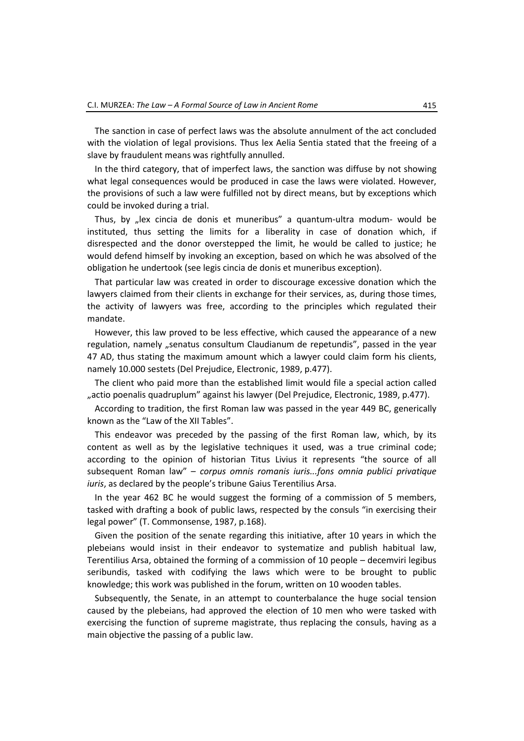The sanction in case of perfect laws was the absolute annulment of the act concluded with the violation of legal provisions. Thus lex Aelia Sentia stated that the freeing of a slave by fraudulent means was rightfully annulled.

In the third category, that of imperfect laws, the sanction was diffuse by not showing what legal consequences would be produced in case the laws were violated. However, the provisions of such a law were fulfilled not by direct means, but by exceptions which could be invoked during a trial.

Thus, by "lex cincia de donis et muneribus" a quantum-ultra modum- would be instituted, thus setting the limits for a liberality in case of donation which, if disrespected and the donor overstepped the limit, he would be called to justice; he would defend himself by invoking an exception, based on which he was absolved of the obligation he undertook (see legis cincia de donis et muneribus exception).

That particular law was created in order to discourage excessive donation which the lawyers claimed from their clients in exchange for their services, as, during those times, the activity of lawyers was free, according to the principles which regulated their mandate.

However, this law proved to be less effective, which caused the appearance of a new regulation, namely "senatus consultum Claudianum de repetundis", passed in the year 47 AD, thus stating the maximum amount which a lawyer could claim form his clients, namely 10.000 sestets (Del Prejudice, Electronic, 1989, p.477).

The client who paid more than the established limit would file a special action called "actio poenalis quadruplum" against his lawyer (Del Prejudice, Electronic, 1989, p.477).

According to tradition, the first Roman law was passed in the year 449 BC, generically known as the "Law of the XII Tables".

This endeavor was preceded by the passing of the first Roman law, which, by its content as well as by the legislative techniques it used, was a true criminal code; according to the opinion of historian Titus Livius it represents "the source of all subsequent Roman law" – *corpus omnis romanis iuris...fons omnia publici privatique iuris*, as declared by the people's tribune Gaius Terentilius Arsa.

In the year 462 BC he would suggest the forming of a commission of 5 members, tasked with drafting a book of public laws, respected by the consuls "in exercising their legal power" (T. Commonsense, 1987, p.168).

Given the position of the senate regarding this initiative, after 10 years in which the plebeians would insist in their endeavor to systematize and publish habitual law, Terentilius Arsa, obtained the forming of a commission of 10 people – decemviri legibus seribundis, tasked with codifying the laws which were to be brought to public knowledge; this work was published in the forum, written on 10 wooden tables.

Subsequently, the Senate, in an attempt to counterbalance the huge social tension caused by the plebeians, had approved the election of 10 men who were tasked with exercising the function of supreme magistrate, thus replacing the consuls, having as a main objective the passing of a public law.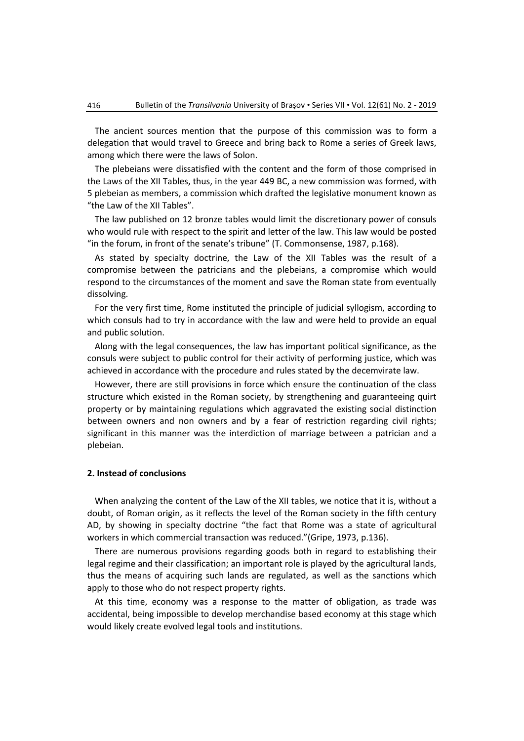The ancient sources mention that the purpose of this commission was to form a delegation that would travel to Greece and bring back to Rome a series of Greek laws, among which there were the laws of Solon.

The plebeians were dissatisfied with the content and the form of those comprised in the Laws of the XII Tables, thus, in the year 449 BC, a new commission was formed, with 5 plebeian as members, a commission which drafted the legislative monument known as "the Law of the XII Tables".

The law published on 12 bronze tables would limit the discretionary power of consuls who would rule with respect to the spirit and letter of the law. This law would be posted "in the forum, in front of the senate's tribune" (T. Commonsense, 1987, p.168).

As stated by specialty doctrine, the Law of the XII Tables was the result of a compromise between the patricians and the plebeians, a compromise which would respond to the circumstances of the moment and save the Roman state from eventually dissolving.

For the very first time, Rome instituted the principle of judicial syllogism, according to which consuls had to try in accordance with the law and were held to provide an equal and public solution.

Along with the legal consequences, the law has important political significance, as the consuls were subject to public control for their activity of performing justice, which was achieved in accordance with the procedure and rules stated by the decemvirate law.

However, there are still provisions in force which ensure the continuation of the class structure which existed in the Roman society, by strengthening and guaranteeing quirt property or by maintaining regulations which aggravated the existing social distinction between owners and non owners and by a fear of restriction regarding civil rights; significant in this manner was the interdiction of marriage between a patrician and a plebeian.

#### **2. Instead of conclusions**

When analyzing the content of the Law of the XII tables, we notice that it is, without a doubt, of Roman origin, as it reflects the level of the Roman society in the fifth century AD, by showing in specialty doctrine "the fact that Rome was a state of agricultural workers in which commercial transaction was reduced."(Gripe, 1973, p.136).

There are numerous provisions regarding goods both in regard to establishing their legal regime and their classification; an important role is played by the agricultural lands, thus the means of acquiring such lands are regulated, as well as the sanctions which apply to those who do not respect property rights.

At this time, economy was a response to the matter of obligation, as trade was accidental, being impossible to develop merchandise based economy at this stage which would likely create evolved legal tools and institutions.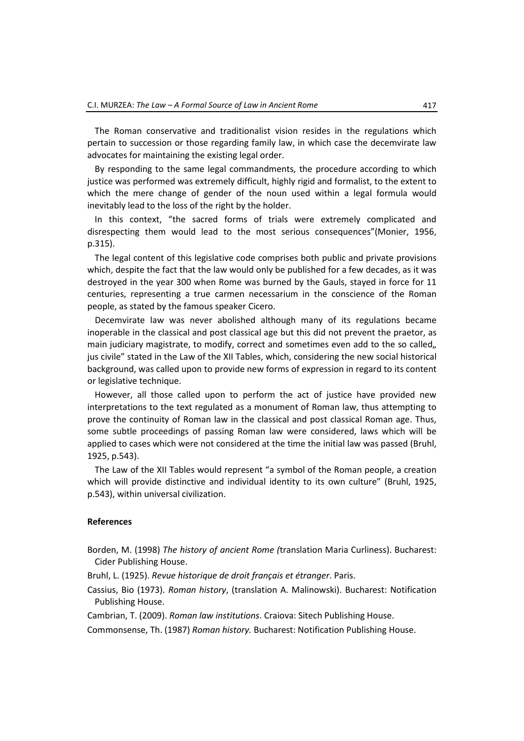The Roman conservative and traditionalist vision resides in the regulations which pertain to succession or those regarding family law, in which case the decemvirate law advocates for maintaining the existing legal order.

By responding to the same legal commandments, the procedure according to which justice was performed was extremely difficult, highly rigid and formalist, to the extent to which the mere change of gender of the noun used within a legal formula would inevitably lead to the loss of the right by the holder.

In this context, "the sacred forms of trials were extremely complicated and disrespecting them would lead to the most serious consequences"(Monier, 1956, p.315).

The legal content of this legislative code comprises both public and private provisions which, despite the fact that the law would only be published for a few decades, as it was destroyed in the year 300 when Rome was burned by the Gauls, stayed in force for 11 centuries, representing a true carmen necessarium in the conscience of the Roman people, as stated by the famous speaker Cicero.

Decemvirate law was never abolished although many of its regulations became inoperable in the classical and post classical age but this did not prevent the praetor, as main judiciary magistrate, to modify, correct and sometimes even add to the so called, jus civile" stated in the Law of the XII Tables, which, considering the new social historical background, was called upon to provide new forms of expression in regard to its content or legislative technique.

However, all those called upon to perform the act of justice have provided new interpretations to the text regulated as a monument of Roman law, thus attempting to prove the continuity of Roman law in the classical and post classical Roman age. Thus, some subtle proceedings of passing Roman law were considered, laws which will be applied to cases which were not considered at the time the initial law was passed (Bruhl, 1925, p.543).

The Law of the XII Tables would represent "a symbol of the Roman people, a creation which will provide distinctive and individual identity to its own culture" (Bruhl, 1925, p.543), within universal civilization.

#### **References**

- Borden, M. (1998) *The history of ancient Rome (*translation Maria Curliness). Bucharest: Cider Publishing House.
- Bruhl, L. (1925). *Revue historique de droit français et étranger*. Paris.
- Cassius, Bio (1973). *Roman history*, (translation A. Malinowski). Bucharest: Notification Publishing House.

Cambrian, T. (2009). *Roman law institutions*. Craiova: Sitech Publishing House.

Commonsense, Th. (1987) *Roman history.* Bucharest: Notification Publishing House.